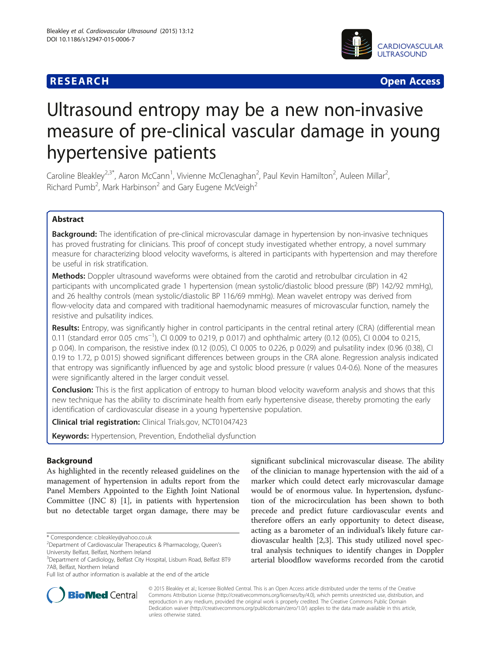## **RESEARCH CHINESE ARCH CHINESE ARCH CHINESE ARCH <b>CHINESE ARCH**



# Ultrasound entropy may be a new non-invasive measure of pre-clinical vascular damage in young hypertensive patients

Caroline Bleakley<sup>2,3\*</sup>, Aaron McCann<sup>1</sup>, Vivienne McClenaghan<sup>2</sup>, Paul Kevin Hamilton<sup>2</sup>, Auleen Millar<sup>2</sup> , Richard Pumb<sup>2</sup>, Mark Harbinson<sup>2</sup> and Gary Eugene McVeigh<sup>2</sup>

## Abstract

Background: The identification of pre-clinical microvascular damage in hypertension by non-invasive techniques has proved frustrating for clinicians. This proof of concept study investigated whether entropy, a novel summary measure for characterizing blood velocity waveforms, is altered in participants with hypertension and may therefore be useful in risk stratification.

**Methods:** Doppler ultrasound waveforms were obtained from the carotid and retrobulbar circulation in 42 participants with uncomplicated grade 1 hypertension (mean systolic/diastolic blood pressure (BP) 142/92 mmHg), and 26 healthy controls (mean systolic/diastolic BP 116/69 mmHg). Mean wavelet entropy was derived from flow-velocity data and compared with traditional haemodynamic measures of microvascular function, namely the resistive and pulsatility indices.

Results: Entropy, was significantly higher in control participants in the central retinal artery (CRA) (differential mean 0.11 (standard error 0.05 cms<sup>-1</sup>), CI 0.009 to 0.219, p 0.017) and ophthalmic artery (0.12 (0.05), CI 0.004 to 0.215 p 0.04). In comparison, the resistive index (0.12 (0.05), CI 0.005 to 0.226, p 0.029) and pulsatility index (0.96 (0.38), CI 0.19 to 1.72, p 0.015) showed significant differences between groups in the CRA alone. Regression analysis indicated that entropy was significantly influenced by age and systolic blood pressure (r values 0.4-0.6). None of the measures were significantly altered in the larger conduit vessel.

**Conclusion:** This is the first application of entropy to human blood velocity waveform analysis and shows that this new technique has the ability to discriminate health from early hypertensive disease, thereby promoting the early identification of cardiovascular disease in a young hypertensive population.

Clinical trial registration: Clinical Trials.gov, [NCT01047423](http://clinicaltrials.gov/show/NCT01047423)

Keywords: Hypertension, Prevention, Endothelial dysfunction

## Background

As highlighted in the recently released guidelines on the management of hypertension in adults report from the Panel Members Appointed to the Eighth Joint National Committee (JNC 8) [[1](#page-8-0)], in patients with hypertension but no detectable target organ damage, there may be

\* Correspondence: [c.bleakley@yahoo.co.uk](mailto:c.bleakley@yahoo.co.uk) <sup>2</sup>

significant subclinical microvascular disease. The ability of the clinician to manage hypertension with the aid of a marker which could detect early microvascular damage would be of enormous value. In hypertension, dysfunction of the microcirculation has been shown to both precede and predict future cardiovascular events and therefore offers an early opportunity to detect disease, acting as a barometer of an individual's likely future cardiovascular health [\[2,3](#page-8-0)]. This study utilized novel spectral analysis techniques to identify changes in Doppler arterial bloodflow waveforms recorded from the carotid



© 2015 Bleakley et al.; licensee BioMed Central. This is an Open Access article distributed under the terms of the Creative Commons Attribution License [\(http://creativecommons.org/licenses/by/4.0\)](http://creativecommons.org/licenses/by/4.0), which permits unrestricted use, distribution, and reproduction in any medium, provided the original work is properly credited. The Creative Commons Public Domain Dedication waiver [\(http://creativecommons.org/publicdomain/zero/1.0/](http://creativecommons.org/publicdomain/zero/1.0/)) applies to the data made available in this article, unless otherwise stated.

<sup>&</sup>lt;sup>2</sup>Department of Cardiovascular Therapeutics & Pharmacology, Queen's University Belfast, Belfast, Northern Ireland

<sup>3</sup> Department of Cardiology, Belfast City Hospital, Lisburn Road, Belfast BT9 7AB, Belfast, Northern Ireland

Full list of author information is available at the end of the article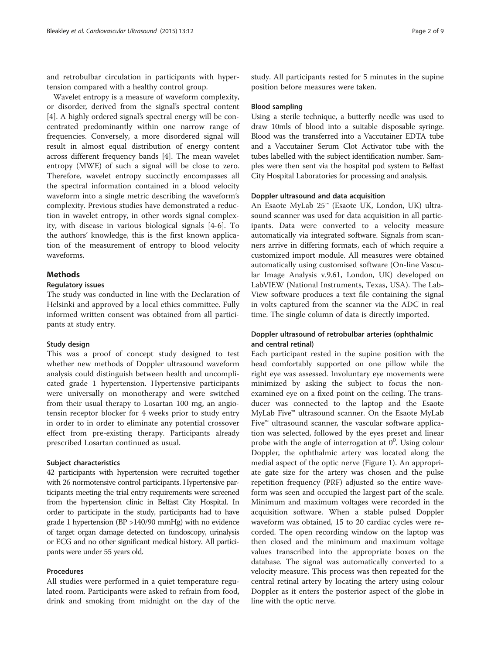and retrobulbar circulation in participants with hypertension compared with a healthy control group.

Wavelet entropy is a measure of waveform complexity, or disorder, derived from the signal's spectral content [[4\]](#page-8-0). A highly ordered signal's spectral energy will be concentrated predominantly within one narrow range of frequencies. Conversely, a more disordered signal will result in almost equal distribution of energy content across different frequency bands [[4](#page-8-0)]. The mean wavelet entropy (MWE) of such a signal will be close to zero. Therefore, wavelet entropy succinctly encompasses all the spectral information contained in a blood velocity waveform into a single metric describing the waveform's complexity. Previous studies have demonstrated a reduction in wavelet entropy, in other words signal complexity, with disease in various biological signals [\[4](#page-8-0)-[6\]](#page-8-0). To the authors' knowledge, this is the first known application of the measurement of entropy to blood velocity waveforms.

## Methods

## Regulatory issues

The study was conducted in line with the Declaration of Helsinki and approved by a local ethics committee. Fully informed written consent was obtained from all participants at study entry.

## Study design

This was a proof of concept study designed to test whether new methods of Doppler ultrasound waveform analysis could distinguish between health and uncomplicated grade 1 hypertension. Hypertensive participants were universally on monotherapy and were switched from their usual therapy to Losartan 100 mg, an angiotensin receptor blocker for 4 weeks prior to study entry in order to in order to eliminate any potential crossover effect from pre-existing therapy. Participants already prescribed Losartan continued as usual.

#### Subject characteristics

42 participants with hypertension were recruited together with 26 normotensive control participants. Hypertensive participants meeting the trial entry requirements were screened from the hypertension clinic in Belfast City Hospital. In order to participate in the study, participants had to have grade 1 hypertension (BP >140/90 mmHg) with no evidence of target organ damage detected on fundoscopy, urinalysis or ECG and no other significant medical history. All participants were under 55 years old.

## Procedures

All studies were performed in a quiet temperature regulated room. Participants were asked to refrain from food, drink and smoking from midnight on the day of the study. All participants rested for 5 minutes in the supine position before measures were taken.

## Blood sampling

Using a sterile technique, a butterfly needle was used to draw 10mls of blood into a suitable disposable syringe. Blood was the transferred into a Vaccutainer EDTA tube and a Vaccutainer Serum Clot Activator tube with the tubes labelled with the subject identification number. Samples were then sent via the hospital pod system to Belfast City Hospital Laboratories for processing and analysis.

#### Doppler ultrasound and data acquisition

An Esaote MyLab 25™ (Esaote UK, London, UK) ultrasound scanner was used for data acquisition in all participants. Data were converted to a velocity measure automatically via integrated software. Signals from scanners arrive in differing formats, each of which require a customized import module. All measures were obtained automatically using customised software (On-line Vascular Image Analysis v.9.61, London, UK) developed on LabVIEW (National Instruments, Texas, USA). The Lab-View software produces a text file containing the signal in volts captured from the scanner via the ADC in real time. The single column of data is directly imported.

## Doppler ultrasound of retrobulbar arteries (ophthalmic and central retinal)

Each participant rested in the supine position with the head comfortably supported on one pillow while the right eye was assessed. Involuntary eye movements were minimized by asking the subject to focus the nonexamined eye on a fixed point on the ceiling. The transducer was connected to the laptop and the Esaote MyLab Five™ ultrasound scanner. On the Esaote MyLab Five<sup>™</sup> ultrasound scanner, the vascular software application was selected, followed by the eyes preset and linear probe with the angle of interrogation at  $0^0$ . Using colour Doppler, the ophthalmic artery was located along the medial aspect of the optic nerve (Figure [1](#page-2-0)). An appropriate gate size for the artery was chosen and the pulse repetition frequency (PRF) adjusted so the entire waveform was seen and occupied the largest part of the scale. Minimum and maximum voltages were recorded in the acquisition software. When a stable pulsed Doppler waveform was obtained, 15 to 20 cardiac cycles were recorded. The open recording window on the laptop was then closed and the minimum and maximum voltage values transcribed into the appropriate boxes on the database. The signal was automatically converted to a velocity measure. This process was then repeated for the central retinal artery by locating the artery using colour Doppler as it enters the posterior aspect of the globe in line with the optic nerve.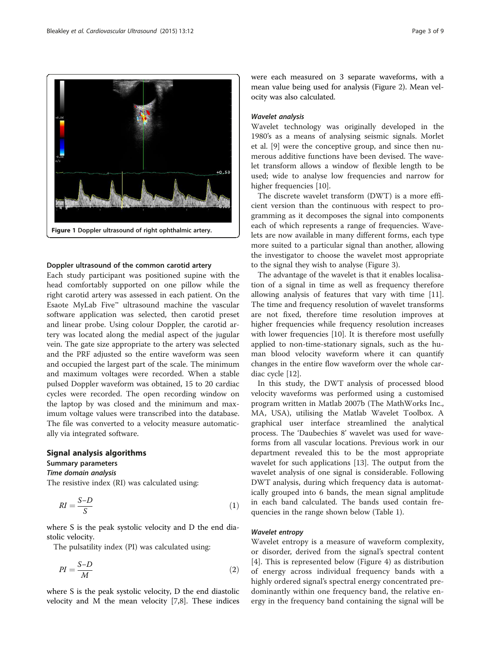<span id="page-2-0"></span>

#### Doppler ultrasound of the common carotid artery

Each study participant was positioned supine with the head comfortably supported on one pillow while the right carotid artery was assessed in each patient. On the Esaote MyLab Five™ ultrasound machine the vascular software application was selected, then carotid preset and linear probe. Using colour Doppler, the carotid artery was located along the medial aspect of the jugular vein. The gate size appropriate to the artery was selected and the PRF adjusted so the entire waveform was seen and occupied the largest part of the scale. The minimum and maximum voltages were recorded. When a stable pulsed Doppler waveform was obtained, 15 to 20 cardiac cycles were recorded. The open recording window on the laptop by was closed and the minimum and maximum voltage values were transcribed into the database. The file was converted to a velocity measure automatically via integrated software.

## Signal analysis algorithms

## Summary parameters

Time domain analysis

The resistive index (RI) was calculated using:

$$
RI = \frac{S-D}{S} \tag{1}
$$

where S is the peak systolic velocity and D the end diastolic velocity.

The pulsatility index (PI) was calculated using:

$$
PI = \frac{S-D}{M} \tag{2}
$$

where S is the peak systolic velocity, D the end diastolic velocity and M the mean velocity [[7,8\]](#page-8-0). These indices were each measured on 3 separate waveforms, with a mean value being used for analysis (Figure [2](#page-3-0)). Mean velocity was also calculated.

## Wavelet analysis

Wavelet technology was originally developed in the 1980's as a means of analysing seismic signals. Morlet et al. [[9\]](#page-8-0) were the conceptive group, and since then numerous additive functions have been devised. The wavelet transform allows a window of flexible length to be used; wide to analyse low frequencies and narrow for higher frequencies [\[10\]](#page-8-0).

The discrete wavelet transform (DWT) is a more efficient version than the continuous with respect to programming as it decomposes the signal into components each of which represents a range of frequencies. Wavelets are now available in many different forms, each type more suited to a particular signal than another, allowing the investigator to choose the wavelet most appropriate to the signal they wish to analyse (Figure [3](#page-3-0)).

The advantage of the wavelet is that it enables localisation of a signal in time as well as frequency therefore allowing analysis of features that vary with time [\[11](#page-8-0)]. The time and frequency resolution of wavelet transforms are not fixed, therefore time resolution improves at higher frequencies while frequency resolution increases with lower frequencies [\[10\]](#page-8-0). It is therefore most usefully applied to non-time-stationary signals, such as the human blood velocity waveform where it can quantify changes in the entire flow waveform over the whole cardiac cycle [\[12](#page-8-0)].

In this study, the DWT analysis of processed blood velocity waveforms was performed using a customised program written in Matlab 2007b (The MathWorks Inc., MA, USA), utilising the Matlab Wavelet Toolbox. A graphical user interface streamlined the analytical process. The 'Daubechies 8' wavelet was used for waveforms from all vascular locations. Previous work in our department revealed this to be the most appropriate wavelet for such applications [\[13](#page-8-0)]. The output from the wavelet analysis of one signal is considerable. Following DWT analysis, during which frequency data is automatically grouped into 6 bands, the mean signal amplitude in each band calculated. The bands used contain frequencies in the range shown below (Table [1](#page-4-0)).

## Wavelet entropy

Wavelet entropy is a measure of waveform complexity, or disorder, derived from the signal's spectral content [[4](#page-8-0)]. This is represented below (Figure [4](#page-4-0)) as distribution of energy across individual frequency bands with a highly ordered signal's spectral energy concentrated predominantly within one frequency band, the relative energy in the frequency band containing the signal will be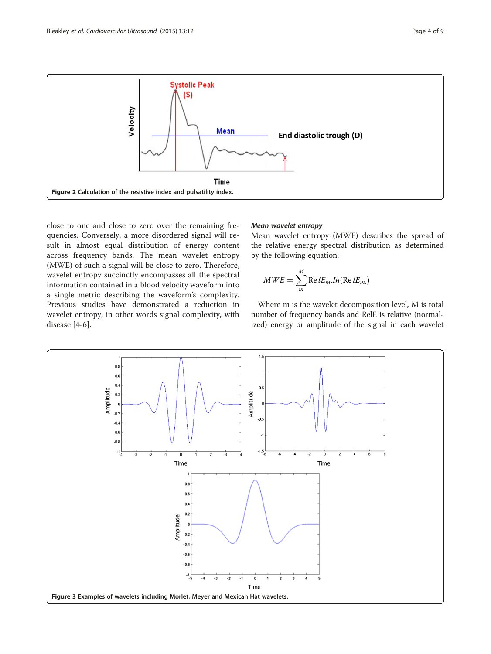<span id="page-3-0"></span>

close to one and close to zero over the remaining frequencies. Conversely, a more disordered signal will result in almost equal distribution of energy content across frequency bands. The mean wavelet entropy (MWE) of such a signal will be close to zero. Therefore, wavelet entropy succinctly encompasses all the spectral information contained in a blood velocity waveform into a single metric describing the waveform's complexity. Previous studies have demonstrated a reduction in wavelet entropy, in other words signal complexity, with disease [[4-6\]](#page-8-0).

#### Mean wavelet entropy

Mean wavelet entropy (MWE) describes the spread of the relative energy spectral distribution as determined by the following equation:

$$
MWE = \sum_{m}^{M} \text{Re}\, lE_m \cdot In(\text{Re}\, lE_m)
$$

Where m is the wavelet decomposition level, M is total number of frequency bands and RelE is relative (normalized) energy or amplitude of the signal in each wavelet

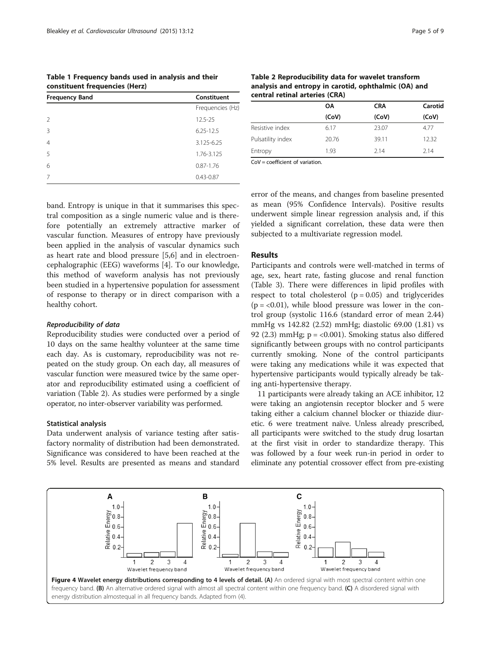| <b>Frequency Band</b> | Constituent      |
|-----------------------|------------------|
|                       | Frequencies (Hz) |
| $\mathcal{P}$         | $12.5 - 25$      |
| 3                     | $6.25 - 12.5$    |
| $\overline{4}$        | 3.125-6.25       |
| 5                     | 1.76-3.125       |
| 6                     | $0.87 - 1.76$    |
|                       | $0.43 - 0.87$    |

<span id="page-4-0"></span>Table 1 Frequency bands used in analysis and their constituent frequencies (Herz)

## Table 2 Reproducibility data for wavelet transform analysis and entropy in carotid, ophthalmic (OA) and central retinal arteries (CRA)

|                   | ΟA    | <b>CRA</b> | Carotid |  |
|-------------------|-------|------------|---------|--|
|                   | (CoV) | (CoV)      | (CoV)   |  |
| Resistive index   | 6.17  | 23.07      | 4.77    |  |
| Pulsatility index | 20.76 | 39.11      | 12.32   |  |
| Entropy           | 1.93  | 2.14       | 2.14    |  |
|                   |       |            |         |  |

 $Cov = coefficient of variation$ .

band. Entropy is unique in that it summarises this spectral composition as a single numeric value and is therefore potentially an extremely attractive marker of vascular function. Measures of entropy have previously been applied in the analysis of vascular dynamics such as heart rate and blood pressure [[5,6\]](#page-8-0) and in electroencephalographic (EEG) waveforms [\[4](#page-8-0)]. To our knowledge, this method of waveform analysis has not previously been studied in a hypertensive population for assessment of response to therapy or in direct comparison with a healthy cohort.

## Reproducibility of data

Reproducibility studies were conducted over a period of 10 days on the same healthy volunteer at the same time each day. As is customary, reproducibility was not repeated on the study group. On each day, all measures of vascular function were measured twice by the same operator and reproducibility estimated using a coefficient of variation (Table 2). As studies were performed by a single operator, no inter-observer variability was performed.

## Statistical analysis

Data underwent analysis of variance testing after satisfactory normality of distribution had been demonstrated. Significance was considered to have been reached at the 5% level. Results are presented as means and standard error of the means, and changes from baseline presented as mean (95% Confidence Intervals). Positive results underwent simple linear regression analysis and, if this yielded a significant correlation, these data were then subjected to a multivariate regression model.

## Results

Participants and controls were well-matched in terms of age, sex, heart rate, fasting glucose and renal function (Table [3\)](#page-5-0). There were differences in lipid profiles with respect to total cholesterol ( $p = 0.05$ ) and triglycerides  $(p = <0.01)$ , while blood pressure was lower in the control group (systolic 116.6 (standard error of mean 2.44) mmHg vs 142.82 (2.52) mmHg; diastolic 69.00 (1.81) vs 92 (2.3) mmHg;  $p = < 0.001$ ). Smoking status also differed significantly between groups with no control participants currently smoking. None of the control participants were taking any medications while it was expected that hypertensive participants would typically already be taking anti-hypertensive therapy.

11 participants were already taking an ACE inhibitor, 12 were taking an angiotensin receptor blocker and 5 were taking either a calcium channel blocker or thiazide diuretic. 6 were treatment naïve. Unless already prescribed, all participants were switched to the study drug losartan at the first visit in order to standardize therapy. This was followed by a four week run-in period in order to eliminate any potential crossover effect from pre-existing

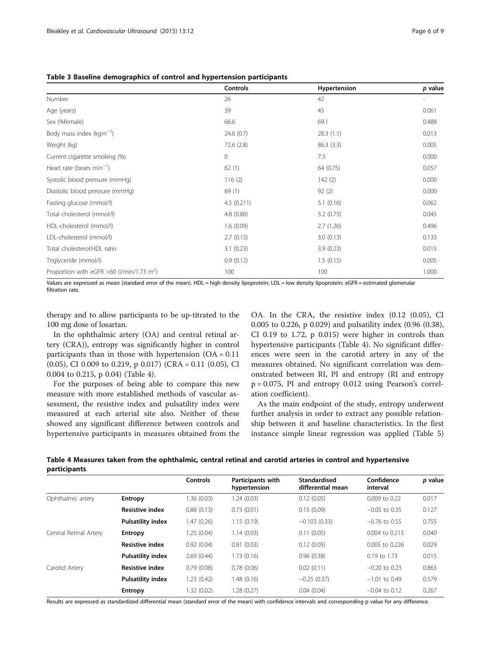|                                                         | <b>Controls</b> | Hypertension | p value |
|---------------------------------------------------------|-----------------|--------------|---------|
| Number                                                  | 26              | 42           |         |
| Age (years)                                             | 39              | 45           | 0.061   |
| Sex (%female)                                           | 66.6            | 69.1         | 0.488   |
| Body mass index (kgm <sup><math>-2</math></sup> )       | 24.6(0.7)       | 28.3(1.1)    | 0.013   |
| Weight (kg)                                             | 72.6(2.8)       | 86.3(3.3)    | 0.005   |
| Current cigarette smoking (%)                           | $\mathbf{0}$    | 7.3          | 0.000   |
| Heart rate (beats $min^{-1}$ )                          | 62(1)           | 64 (0.75)    | 0.057   |
| Systolic blood pressure (mmHq)                          | 116(2)          | 142(2)       | 0.000   |
| Diastolic blood pressure (mmHg)                         | 69(1)           | 92(2)        | 0.000   |
| Fasting glucose (mmol/l)                                | 4.5(0.211)      | 5.1(0.16)    | 0.062   |
| Total cholesterol (mmol/l)                              | 4.8(0.80)       | 5.2(0.75)    | 0.045   |
| HDL-cholesterol (mmol/l)                                | 1.6(0.09)       | 2.7(1.26)    | 0.496   |
| LDL-cholesterol (mmol/l)                                | 2.7(0.15)       | 3.0(0.13)    | 0.133   |
| Total cholesterol:HDL ratio                             | 3.1(0.23)       | 3.9(0.23)    | 0.015   |
| Triglyceride (mmol/l)                                   | 0.9(0.12)       | 1.5(0.15)    | 0.005   |
| Proportion with eGFR $>60$ (l/min/1.73 m <sup>2</sup> ) | 100             | 100          | 1.000   |

<span id="page-5-0"></span>

|  |  |  |  | Table 3 Baseline demographics of control and hypertension participants |  |  |  |  |  |  |
|--|--|--|--|------------------------------------------------------------------------|--|--|--|--|--|--|
|--|--|--|--|------------------------------------------------------------------------|--|--|--|--|--|--|

Values are expressed as mean (standard error of the mean). HDL = high density lipoprotein; LDL = low density lipoprotein; eGFR = estimated glomerular filtration rate.

therapy and to allow participants to be up-titrated to the 100 mg dose of losartan.

In the ophthalmic artery (OA) and central retinal artery (CRA)), entropy was significantly higher in control participants than in those with hypertension  $(OA = 0.11)$ (0.05), CI 0.009 to 0.219, p 0.017) (CRA = 0.11 (0.05), CI 0.004 to 0.215, p 0.04) (Table 4).

For the purposes of being able to compare this new measure with more established methods of vascular assessment, the resistive index and pulsatility index were measured at each arterial site also. Neither of these showed any significant difference between controls and hypertensive participants in measures obtained from the OA. In the CRA, the resistive index (0.12 (0.05), CI 0.005 to 0.226, p 0.029) and pulsatility index (0.96 (0.38), CI 0.19 to 1.72, p 0.015) were higher in controls than hypertensive participants (Table 4). No significant differences were seen in the carotid artery in any of the measures obtained. No significant correlation was demonstrated between RI, PI and entropy (RI and entropy p = 0.075, PI and entropy 0.012 using Pearson's correlation coefficient).

As the main endpoint of the study, entropy underwent further analysis in order to extract any possible relationship between it and baseline characteristics. In the first instance simple linear regression was applied (Table [5](#page-6-0))

| Table 4 Measures taken from the ophthalmic, central retinal and carotid arteries in control and hypertensive |  |  |  |  |
|--------------------------------------------------------------------------------------------------------------|--|--|--|--|
| participants                                                                                                 |  |  |  |  |

|                        |                          | Controls    | Participants with<br>hypertension | <b>Standardised</b><br>differential mean | Confidence<br>interval | p value |
|------------------------|--------------------------|-------------|-----------------------------------|------------------------------------------|------------------------|---------|
| Ophthalmic artery      | Entropy                  | 1.36 (0.03) | 1.24(0.03)                        | 0.12(0.05)                               | 0.009 to 0.22          | 0.017   |
|                        | <b>Resistive index</b>   | 0.88(0.13)  | 0.73(0.01)                        | 0.15(0.09)                               | $-0.05$ to 0.35        | 0.127   |
|                        | <b>Pulsatility index</b> | 1.47 (0.26) | 1.15(0.19)                        | $-0.103(0.33)$                           | $-0.76$ to 0.55        | 0.755   |
| Central Retinal Artery | Entropy                  | 1.25(0.04)  | 1.14(0.03)                        | 0.11(0.05)                               | 0.004 to 0.215         | 0.040   |
|                        | <b>Resistive index</b>   | 0.92(0.04)  | 0.81(0.03)                        | 0.12(0.05)                               | 0.005 to 0.226         | 0.029   |
|                        | <b>Pulsatility index</b> | 2.69(0.44)  | 1.73(0.16)                        | 0.96(0.38)                               | $0.19$ to 1.73         | 0.015   |
| Carotid Artery         | <b>Resistive index</b>   | 0.79(0.08)  | 0.78(0.06)                        | 0.02(0.11)                               | $-0.20$ to 0.23        | 0.863   |
|                        | <b>Pulsatility index</b> | 1.23 (0.42) | 1.48(0.16)                        | $-0.25(0.37)$                            | $-1.01$ to 0.49        | 0.579   |
|                        | Entropy                  | 1.32 (0.02) | 1.28 (0.27)                       | 0.04(0.04)                               | $-0.04$ to 0.12        | 0.267   |

Results are expressed as standardized differential mean (standard error of the mean) with confidence intervals and corresponding p value for any difference.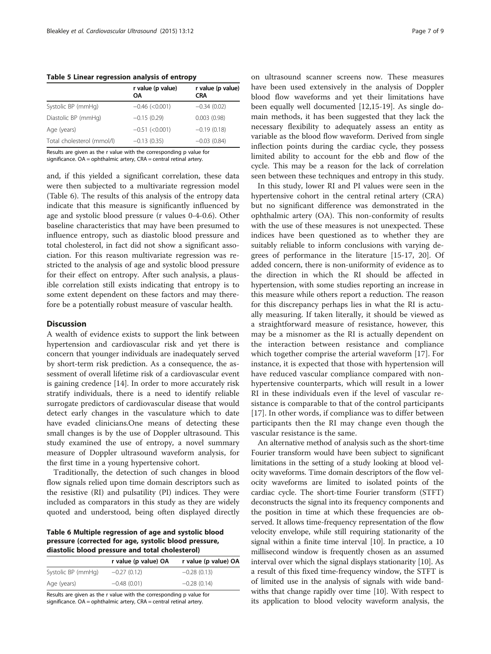<span id="page-6-0"></span>Table 5 Linear regression analysis of entropy

|                            | r value (p value)<br>OΑ | r value (p value)<br><b>CRA</b> |
|----------------------------|-------------------------|---------------------------------|
| Systolic BP (mmHg)         | $-0.46$ (<0.001)        | $-0.34(0.02)$                   |
| Diastolic BP (mmHg)        | $-0.15(0.29)$           | 0.003(0.98)                     |
| Age (years)                | $-0.51$ (<0.001)        | $-0.19(0.18)$                   |
| Total cholesterol (mmol/l) | $-0.13(0.35)$           | $-0.03(0.84)$                   |

Results are given as the r value with the corresponding p value for significance. OA = ophthalmic artery, CRA = central retinal artery.

and, if this yielded a significant correlation, these data were then subjected to a multivariate regression model (Table 6). The results of this analysis of the entropy data indicate that this measure is significantly influenced by age and systolic blood pressure (r values 0-4-0.6). Other baseline characteristics that may have been presumed to influence entropy, such as diastolic blood pressure and total cholesterol, in fact did not show a significant association. For this reason multivariate regression was restricted to the analysis of age and systolic blood pressure for their effect on entropy. After such analysis, a plausible correlation still exists indicating that entropy is to some extent dependent on these factors and may therefore be a potentially robust measure of vascular health.

## **Discussion**

A wealth of evidence exists to support the link between hypertension and cardiovascular risk and yet there is concern that younger individuals are inadequately served by short-term risk prediction. As a consequence, the assessment of overall lifetime risk of a cardiovascular event is gaining credence [\[14\]](#page-8-0). In order to more accurately risk stratify individuals, there is a need to identify reliable surrogate predictors of cardiovascular disease that would detect early changes in the vasculature which to date have evaded clinicians.One means of detecting these small changes is by the use of Doppler ultrasound. This study examined the use of entropy, a novel summary measure of Doppler ultrasound waveform analysis, for the first time in a young hypertensive cohort.

Traditionally, the detection of such changes in blood flow signals relied upon time domain descriptors such as the resistive (RI) and pulsatility (PI) indices. They were included as comparators in this study as they are widely quoted and understood, being often displayed directly

Table 6 Multiple regression of age and systolic blood pressure (corrected for age, systolic blood pressure, diastolic blood pressure and total cholesterol)

|                    | r value (p value) OA | r value (p value) OA |
|--------------------|----------------------|----------------------|
| Systolic BP (mmHg) | $-0.27(0.12)$        | $-0.28(0.13)$        |
| Age (years)        | $-0.48(0.01)$        | $-0.28(0.14)$        |

Results are given as the r value with the corresponding p value for significance. OA = ophthalmic artery, CRA = central retinal artery.

on ultrasound scanner screens now. These measures have been used extensively in the analysis of Doppler blood flow waveforms and yet their limitations have been equally well documented [\[12,15](#page-8-0)-[19\]](#page-8-0). As single domain methods, it has been suggested that they lack the necessary flexibility to adequately assess an entity as variable as the blood flow waveform. Derived from single inflection points during the cardiac cycle, they possess limited ability to account for the ebb and flow of the cycle. This may be a reason for the lack of correlation seen between these techniques and entropy in this study.

In this study, lower RI and PI values were seen in the hypertensive cohort in the central retinal artery (CRA) but no significant difference was demonstrated in the ophthalmic artery (OA). This non-conformity of results with the use of these measures is not unexpected. These indices have been questioned as to whether they are suitably reliable to inform conclusions with varying degrees of performance in the literature [\[15](#page-8-0)-[17, 20\]](#page-8-0). Of added concern, there is non-uniformity of evidence as to the direction in which the RI should be affected in hypertension, with some studies reporting an increase in this measure while others report a reduction. The reason for this discrepancy perhaps lies in what the RI is actually measuring. If taken literally, it should be viewed as a straightforward measure of resistance, however, this may be a misnomer as the RI is actually dependent on the interaction between resistance and compliance which together comprise the arterial waveform [\[17](#page-8-0)]. For instance, it is expected that those with hypertension will have reduced vascular compliance compared with nonhypertensive counterparts, which will result in a lower RI in these individuals even if the level of vascular resistance is comparable to that of the control participants [[17\]](#page-8-0). In other words, if compliance was to differ between participants then the RI may change even though the vascular resistance is the same.

An alternative method of analysis such as the short-time Fourier transform would have been subject to significant limitations in the setting of a study looking at blood velocity waveforms. Time domain descriptors of the flow velocity waveforms are limited to isolated points of the cardiac cycle. The short-time Fourier transform (STFT) deconstructs the signal into its frequency components and the position in time at which these frequencies are observed. It allows time-frequency representation of the flow velocity envelope, while still requiring stationarity of the signal within a finite time interval [\[10\]](#page-8-0). In practice, a 10 millisecond window is frequently chosen as an assumed interval over which the signal displays stationarity [\[10\]](#page-8-0). As a result of this fixed time-frequency window, the STFT is of limited use in the analysis of signals with wide bandwiths that change rapidly over time [\[10\]](#page-8-0). With respect to its application to blood velocity waveform analysis, the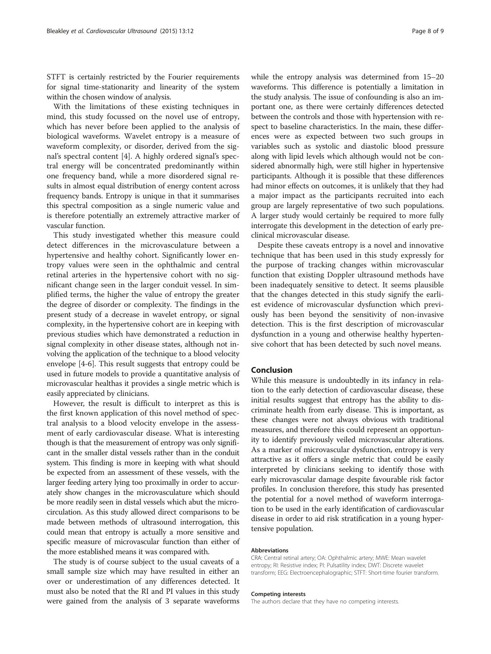STFT is certainly restricted by the Fourier requirements for signal time-stationarity and linearity of the system within the chosen window of analysis.

With the limitations of these existing techniques in mind, this study focussed on the novel use of entropy, which has never before been applied to the analysis of biological waveforms. Wavelet entropy is a measure of waveform complexity, or disorder, derived from the signal's spectral content [\[4](#page-8-0)]. A highly ordered signal's spectral energy will be concentrated predominantly within one frequency band, while a more disordered signal results in almost equal distribution of energy content across frequency bands. Entropy is unique in that it summarises this spectral composition as a single numeric value and is therefore potentially an extremely attractive marker of vascular function.

This study investigated whether this measure could detect differences in the microvasculature between a hypertensive and healthy cohort. Significantly lower entropy values were seen in the ophthalmic and central retinal arteries in the hypertensive cohort with no significant change seen in the larger conduit vessel. In simplified terms, the higher the value of entropy the greater the degree of disorder or complexity. The findings in the present study of a decrease in wavelet entropy, or signal complexity, in the hypertensive cohort are in keeping with previous studies which have demonstrated a reduction in signal complexity in other disease states, although not involving the application of the technique to a blood velocity envelope [\[4](#page-8-0)-[6](#page-8-0)]. This result suggests that entropy could be used in future models to provide a quantitative analysis of microvascular healthas it provides a single metric which is easily appreciated by clinicians.

However, the result is difficult to interpret as this is the first known application of this novel method of spectral analysis to a blood velocity envelope in the assessment of early cardiovascular disease. What is interesting though is that the measurement of entropy was only significant in the smaller distal vessels rather than in the conduit system. This finding is more in keeping with what should be expected from an assessment of these vessels, with the larger feeding artery lying too proximally in order to accurately show changes in the microvasculature which should be more readily seen in distal vessels which abut the microcirculation. As this study allowed direct comparisons to be made between methods of ultrasound interrogation, this could mean that entropy is actually a more sensitive and specific measure of microvascular function than either of the more established means it was compared with.

The study is of course subject to the usual caveats of a small sample size which may have resulted in either an over or underestimation of any differences detected. It must also be noted that the RI and PI values in this study were gained from the analysis of 3 separate waveforms

while the entropy analysis was determined from 15–20 waveforms. This difference is potentially a limitation in the study analysis. The issue of confounding is also an important one, as there were certainly differences detected between the controls and those with hypertension with respect to baseline characteristics. In the main, these differences were as expected between two such groups in variables such as systolic and diastolic blood pressure along with lipid levels which although would not be considered abnormally high, were still higher in hypertensive participants. Although it is possible that these differences had minor effects on outcomes, it is unlikely that they had a major impact as the participants recruited into each group are largely representative of two such populations. A larger study would certainly be required to more fully interrogate this development in the detection of early preclinical microvascular disease.

Despite these caveats entropy is a novel and innovative technique that has been used in this study expressly for the purpose of tracking changes within microvascular function that existing Doppler ultrasound methods have been inadequately sensitive to detect. It seems plausible that the changes detected in this study signify the earliest evidence of microvascular dysfunction which previously has been beyond the sensitivity of non-invasive detection. This is the first description of microvascular dysfunction in a young and otherwise healthy hypertensive cohort that has been detected by such novel means.

## Conclusion

While this measure is undoubtedly in its infancy in relation to the early detection of cardiovascular disease, these initial results suggest that entropy has the ability to discriminate health from early disease. This is important, as these changes were not always obvious with traditional measures, and therefore this could represent an opportunity to identify previously veiled microvascular alterations. As a marker of microvascular dysfunction, entropy is very attractive as it offers a single metric that could be easily interpreted by clinicians seeking to identify those with early microvascular damage despite favourable risk factor profiles. In conclusion therefore, this study has presented the potential for a novel method of waveform interrogation to be used in the early identification of cardiovascular disease in order to aid risk stratification in a young hypertensive population.

#### Abbreviations

CRA: Central retinal artery; OA: Ophthalmic artery; MWE: Mean wavelet entropy; RI: Resistive index; PI: Pulsatility index; DWT: Discrete wavelet transform; EEG: Electroencephalographic; STFT: Short-time fourier transform.

#### Competing interests

The authors declare that they have no competing interests.